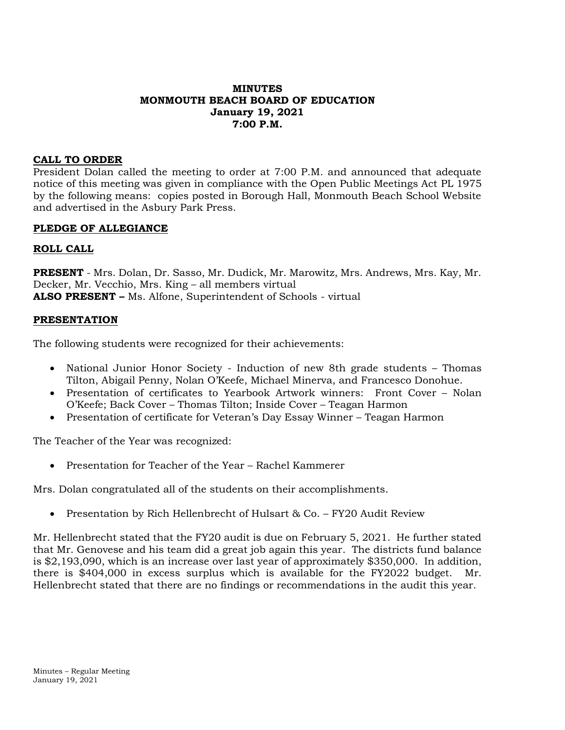# **MINUTES MONMOUTH BEACH BOARD OF EDUCATION January 19, 2021 7:00 P.M.**

# **CALL TO ORDER**

President Dolan called the meeting to order at 7:00 P.M. and announced that adequate notice of this meeting was given in compliance with the Open Public Meetings Act PL 1975 by the following means: copies posted in Borough Hall, Monmouth Beach School Website and advertised in the Asbury Park Press.

#### **PLEDGE OF ALLEGIANCE**

#### **ROLL CALL**

**PRESENT** - Mrs. Dolan, Dr. Sasso, Mr. Dudick, Mr. Marowitz, Mrs. Andrews, Mrs. Kay, Mr. Decker, Mr. Vecchio, Mrs. King – all members virtual **ALSO PRESENT –** Ms. Alfone, Superintendent of Schools - virtual

#### **PRESENTATION**

The following students were recognized for their achievements:

- National Junior Honor Society Induction of new 8th grade students Thomas Tilton, Abigail Penny, Nolan O'Keefe, Michael Minerva, and Francesco Donohue.
- Presentation of certificates to Yearbook Artwork winners: Front Cover Nolan O'Keefe; Back Cover – Thomas Tilton; Inside Cover – Teagan Harmon
- Presentation of certificate for Veteran's Day Essay Winner Teagan Harmon

The Teacher of the Year was recognized:

• Presentation for Teacher of the Year – Rachel Kammerer

Mrs. Dolan congratulated all of the students on their accomplishments.

• Presentation by Rich Hellenbrecht of Hulsart & Co. – FY20 Audit Review

Mr. Hellenbrecht stated that the FY20 audit is due on February 5, 2021. He further stated that Mr. Genovese and his team did a great job again this year. The districts fund balance is \$2,193,090, which is an increase over last year of approximately \$350,000. In addition, there is \$404,000 in excess surplus which is available for the FY2022 budget. Mr. Hellenbrecht stated that there are no findings or recommendations in the audit this year.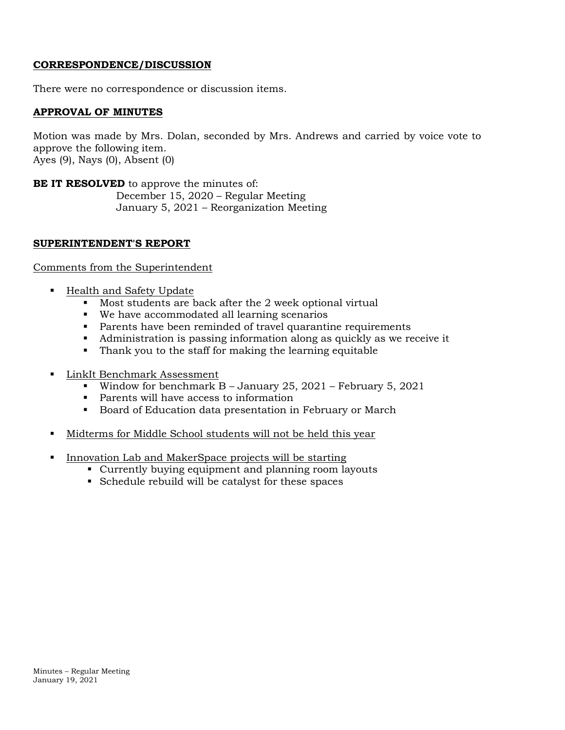#### **CORRESPONDENCE/DISCUSSION**

There were no correspondence or discussion items.

#### **APPROVAL OF MINUTES**

Motion was made by Mrs. Dolan, seconded by Mrs. Andrews and carried by voice vote to approve the following item. Ayes (9), Nays (0), Absent (0)

**BE IT RESOLVED** to approve the minutes of: December 15, 2020 – Regular Meeting January 5, 2021 – Reorganization Meeting

#### **SUPERINTENDENT'S REPORT**

#### Comments from the Superintendent

- Health and Safety Update
	- Most students are back after the 2 week optional virtual
	- We have accommodated all learning scenarios
	- Parents have been reminded of travel quarantine requirements
	- Administration is passing information along as quickly as we receive it
	- Thank you to the staff for making the learning equitable
- LinkIt Benchmark Assessment
	- Window for benchmark B January 25, 2021 February 5, 2021
	- Parents will have access to information
	- Board of Education data presentation in February or March
- Midterms for Middle School students will not be held this year
- Innovation Lab and MakerSpace projects will be starting
	- Currently buying equipment and planning room layouts
	- Schedule rebuild will be catalyst for these spaces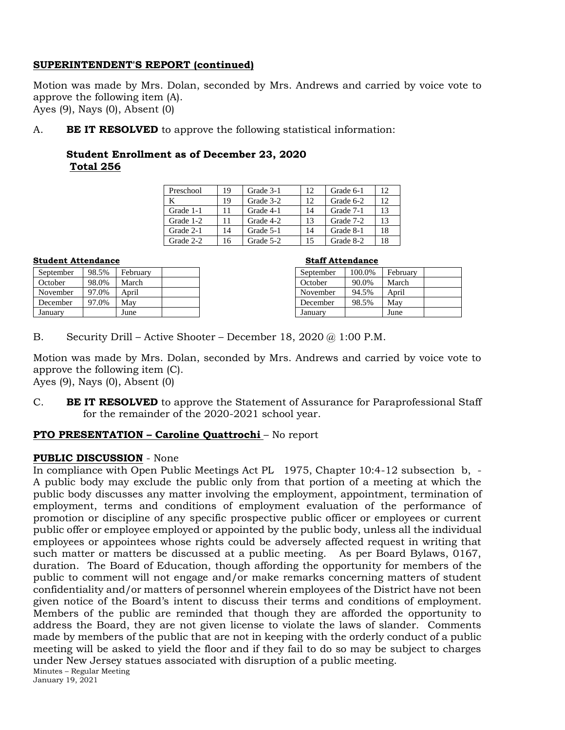# **SUPERINTENDENT'S REPORT (continued)**

Motion was made by Mrs. Dolan, seconded by Mrs. Andrews and carried by voice vote to approve the following item (A). Ayes (9), Nays (0), Absent (0)

A. **BE IT RESOLVED** to approve the following statistical information:

# **Student Enrollment as of December 23, 2020 Total 256**

| Preschool | 19 | Grade 3-1 | 12 | Grade 6-1 | 12 |
|-----------|----|-----------|----|-----------|----|
|           | 19 | Grade 3-2 | 12 | Grade 6-2 | 12 |
| Grade 1-1 | 11 | Grade 4-1 | 14 | Grade 7-1 | 13 |
| Grade 1-2 | 11 | Grade 4-2 | 13 | Grade 7-2 | 13 |
| Grade 2-1 | 14 | Grade 5-1 | 14 | Grade 8-1 | 18 |
| Grade 2-2 | 16 | Grade 5-2 | 15 | Grade 8-2 | 18 |

#### **Student Attendance Staff Attendance**

| September | 98.5% | February |  |
|-----------|-------|----------|--|
| October   | 98.0% | March    |  |
| November  | 97.0% | April    |  |
| December  | 97.0% | May      |  |
| January   |       | June     |  |

| September | 100.0% | February |  |
|-----------|--------|----------|--|
| October   | 90.0%  | March    |  |
| November  | 94.5%  | April    |  |
| December  | 98.5%  | May      |  |
| January   |        | June     |  |

B. Security Drill – Active Shooter – December 18, 2020 @ 1:00 P.M.

Motion was made by Mrs. Dolan, seconded by Mrs. Andrews and carried by voice vote to approve the following item (C).

Ayes (9), Nays (0), Absent (0)

C. **BE IT RESOLVED** to approve the Statement of Assurance for Paraprofessional Staff for the remainder of the 2020-2021 school year.

# **PTO PRESENTATION – Caroline Quattrochi** – No report

# **PUBLIC DISCUSSION** - None

Minutes – Regular Meeting January 19, 2021 In compliance with Open Public Meetings Act PL 1975, Chapter 10:4-12 subsection b, - A public body may exclude the public only from that portion of a meeting at which the public body discusses any matter involving the employment, appointment, termination of employment, terms and conditions of employment evaluation of the performance of promotion or discipline of any specific prospective public officer or employees or current public offer or employee employed or appointed by the public body, unless all the individual employees or appointees whose rights could be adversely affected request in writing that such matter or matters be discussed at a public meeting. As per Board Bylaws, 0167, duration. The Board of Education, though affording the opportunity for members of the public to comment will not engage and/or make remarks concerning matters of student confidentiality and/or matters of personnel wherein employees of the District have not been given notice of the Board's intent to discuss their terms and conditions of employment. Members of the public are reminded that though they are afforded the opportunity to address the Board, they are not given license to violate the laws of slander. Comments made by members of the public that are not in keeping with the orderly conduct of a public meeting will be asked to yield the floor and if they fail to do so may be subject to charges under New Jersey statues associated with disruption of a public meeting.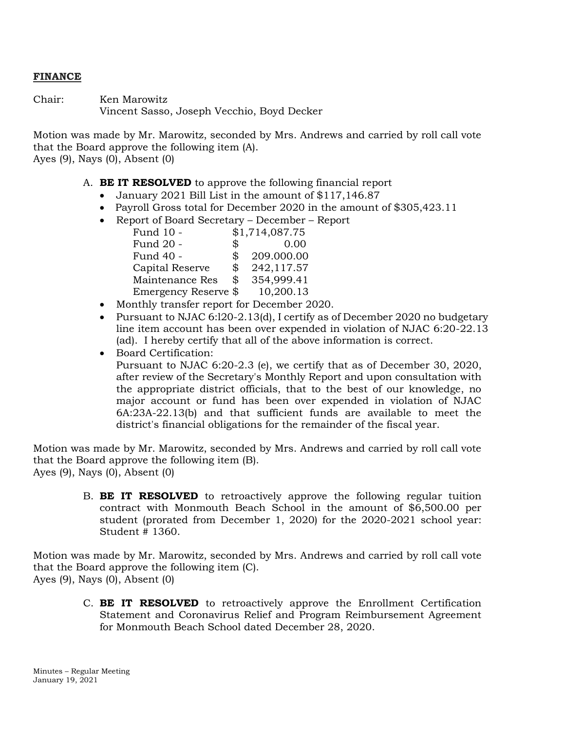#### **FINANCE**

Chair: Ken Marowitz Vincent Sasso, Joseph Vecchio, Boyd Decker

Motion was made by Mr. Marowitz, seconded by Mrs. Andrews and carried by roll call vote that the Board approve the following item (A). Ayes (9), Nays (0), Absent (0)

A. **BE IT RESOLVED** to approve the following financial report

- January 2021 Bill List in the amount of \$117,146.87
- Payroll Gross total for December 2020 in the amount of \$305,423.11
- Report of Board Secretary December Report

| Fund 10 -            | \$1,714,087.75   |
|----------------------|------------------|
| Fund 20 -            | \$<br>0.00       |
| Fund 40 -            | \$<br>209.000.00 |
| Capital Reserve      | \$<br>242,117.57 |
| Maintenance Res      | \$<br>354,999.41 |
| Emergency Reserve \$ | 10,200.13        |

- Monthly transfer report for December 2020.
- Pursuant to NJAC 6:l20-2.13(d), I certify as of December 2020 no budgetary line item account has been over expended in violation of NJAC 6:20-22.13 (ad). I hereby certify that all of the above information is correct.
- Board Certification:

Pursuant to NJAC 6:20-2.3 (e), we certify that as of December 30, 2020, after review of the Secretary's Monthly Report and upon consultation with the appropriate district officials, that to the best of our knowledge, no major account or fund has been over expended in violation of NJAC 6A:23A-22.13(b) and that sufficient funds are available to meet the district's financial obligations for the remainder of the fiscal year.

Motion was made by Mr. Marowitz, seconded by Mrs. Andrews and carried by roll call vote that the Board approve the following item (B). Ayes (9), Nays (0), Absent (0)

> B. **BE IT RESOLVED** to retroactively approve the following regular tuition contract with Monmouth Beach School in the amount of \$6,500.00 per student (prorated from December 1, 2020) for the 2020-2021 school year: Student # 1360.

Motion was made by Mr. Marowitz, seconded by Mrs. Andrews and carried by roll call vote that the Board approve the following item (C). Ayes (9), Nays (0), Absent (0)

> C. **BE IT RESOLVED** to retroactively approve the Enrollment Certification Statement and Coronavirus Relief and Program Reimbursement Agreement for Monmouth Beach School dated December 28, 2020.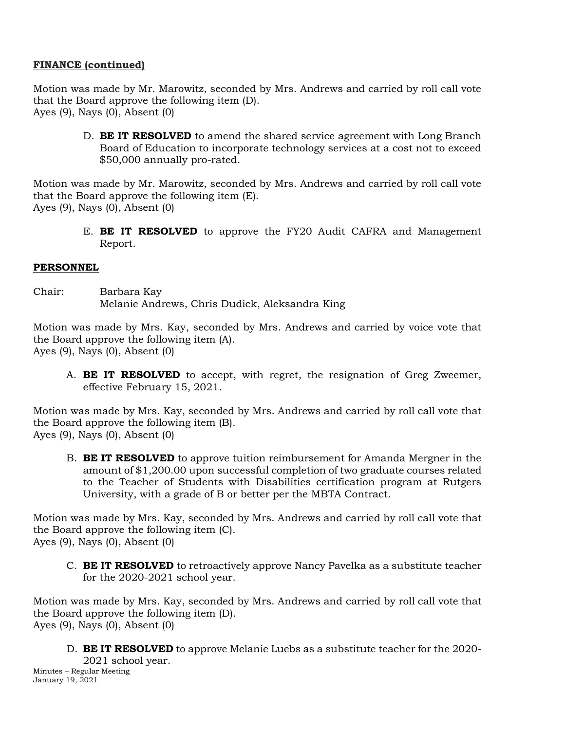# **FINANCE (continued)**

Motion was made by Mr. Marowitz, seconded by Mrs. Andrews and carried by roll call vote that the Board approve the following item (D). Ayes (9), Nays (0), Absent (0)

> D. **BE IT RESOLVED** to amend the shared service agreement with Long Branch Board of Education to incorporate technology services at a cost not to exceed \$50,000 annually pro-rated.

Motion was made by Mr. Marowitz, seconded by Mrs. Andrews and carried by roll call vote that the Board approve the following item (E). Ayes (9), Nays (0), Absent (0)

> E. **BE IT RESOLVED** to approve the FY20 Audit CAFRA and Management Report.

# **PERSONNEL**

Chair: Barbara Kay Melanie Andrews, Chris Dudick, Aleksandra King

Motion was made by Mrs. Kay, seconded by Mrs. Andrews and carried by voice vote that the Board approve the following item (A). Ayes (9), Nays (0), Absent (0)

A. **BE IT RESOLVED** to accept, with regret, the resignation of Greg Zweemer, effective February 15, 2021.

Motion was made by Mrs. Kay, seconded by Mrs. Andrews and carried by roll call vote that the Board approve the following item (B). Ayes (9), Nays (0), Absent (0)

B. **BE IT RESOLVED** to approve tuition reimbursement for Amanda Mergner in the amount of \$1,200.00 upon successful completion of two graduate courses related to the Teacher of Students with Disabilities certification program at Rutgers University, with a grade of B or better per the MBTA Contract.

Motion was made by Mrs. Kay, seconded by Mrs. Andrews and carried by roll call vote that the Board approve the following item (C). Ayes (9), Nays (0), Absent (0)

C. **BE IT RESOLVED** to retroactively approve Nancy Pavelka as a substitute teacher for the 2020-2021 school year.

Motion was made by Mrs. Kay, seconded by Mrs. Andrews and carried by roll call vote that the Board approve the following item (D). Ayes (9), Nays (0), Absent (0)

D. **BE IT RESOLVED** to approve Melanie Luebs as a substitute teacher for the 2020-

Minutes – Regular Meeting January 19, 2021 2021 school year.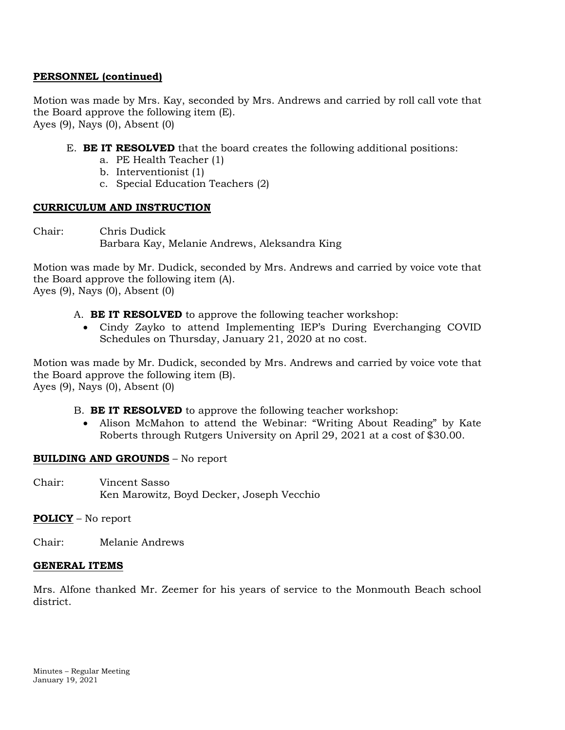# **PERSONNEL (continued)**

Motion was made by Mrs. Kay, seconded by Mrs. Andrews and carried by roll call vote that the Board approve the following item (E). Ayes (9), Nays (0), Absent (0)

- E. **BE IT RESOLVED** that the board creates the following additional positions:
	- a. PE Health Teacher (1)
	- b. Interventionist (1)
	- c. Special Education Teachers (2)

# **CURRICULUM AND INSTRUCTION**

Chair: Chris Dudick Barbara Kay, Melanie Andrews, Aleksandra King

Motion was made by Mr. Dudick, seconded by Mrs. Andrews and carried by voice vote that the Board approve the following item (A). Ayes (9), Nays (0), Absent (0)

- A. **BE IT RESOLVED** to approve the following teacher workshop:
	- Cindy Zayko to attend Implementing IEP's During Everchanging COVID Schedules on Thursday, January 21, 2020 at no cost.

Motion was made by Mr. Dudick, seconded by Mrs. Andrews and carried by voice vote that the Board approve the following item (B). Ayes (9), Nays (0), Absent (0)

- B. **BE IT RESOLVED** to approve the following teacher workshop:
	- Alison McMahon to attend the Webinar: "Writing About Reading" by Kate Roberts through Rutgers University on April 29, 2021 at a cost of \$30.00.

# **BUILDING AND GROUNDS** – No report

Chair: Vincent Sasso Ken Marowitz, Boyd Decker, Joseph Vecchio

# **POLICY** – No report

Chair: Melanie Andrews

# **GENERAL ITEMS**

Mrs. Alfone thanked Mr. Zeemer for his years of service to the Monmouth Beach school district.